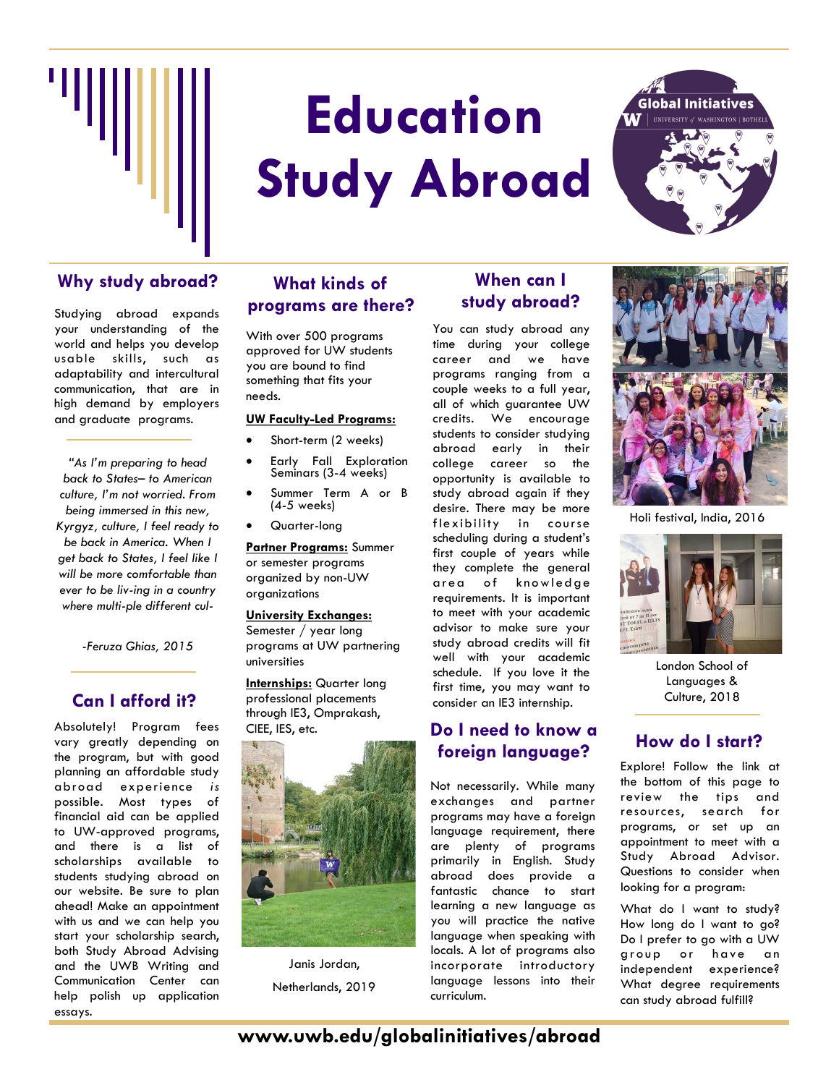

# **Education Study Abroad**



# **Why study abroad? When can I**

Studying abroad expands your understanding of the world and helps you develop usable skills, such as adaptability and intercultural communication, that are in high demand by employers and graduate programs.

*"As I'm preparing to head back to States– to American culture, I'm not worried. From being immersed in this new, Kyrgyz, culture, I feel ready to be back in America. When I get back to States, I feel like I will be more comfortable than ever to be liv-ing in a country where multi-ple different cul-*

*-Feruza Ghias, 2015* 

## **Can I afford it?**

Absolutely! Program fees vary greatly depending on the program, but with good planning an affordable study abroad experience *is* possible. Most types of financial aid can be applied to UW-approved programs, and there is a list of scholarships available to students studying abroad on our website. Be sure to plan ahead! Make an appointment with us and we can help you start your scholarship search, both Study Abroad Advising and the UWB Writing and Communication Center can help polish up application essays.

## **What kinds of programs are there?**

With over 500 programs approved for UW students you are bound to find something that fits your needs.

#### **UW Faculty-Led Programs:**

- Short-term (2 weeks)
- Early Fall Exploration Seminars (3-4 weeks)
- Summer Term A or B (4-5 weeks)
- Quarter-long

**Partner Programs:** Summer or semester programs organized by non-UW organizations

#### **University Exchanges:**

Semester / year long programs at UW partnering universities

**Internships:** Quarter long professional placements through IE3, Omprakash, CIEE, IES, etc.



Janis Jordan, Netherlands, 2019

# **study abroad?**

You can study abroad any time during your college career and we have programs ranging from a couple weeks to a full year, all of which guarantee UW credits. We encourage students to consider studying abroad early in their college career so the opportunity is available to study abroad again if they desire. There may be more flexibility in course scheduling during a student's first couple of years while they complete the general area of knowledge requirements. It is important to meet with your academic advisor to make sure your study abroad credits will fit well with your academic schedule. If you love it the first time, you may want to consider an IE3 internship.

## **Do I need to know a foreign language? How do I start?**

Not necessarily. While many exchanges and partner programs may have a foreign language requirement, there are plenty of programs primarily in English. Study abroad does provide a fantastic chance to start learning a new language as you will practice the native language when speaking with locals. A lot of programs also incorporate introductory language lessons into their curriculum.



Holi festival, India, 2016



London School of Languages & Culture, 2018

Explore! Follow the link at the bottom of this page to review the tips and resources, search for programs, or set up an appointment to meet with a Study Abroad Advisor. Questions to consider when looking for a program:

What do I want to study? How long do I want to go? Do I prefer to go with a UW group or have an independent experience? What degree requirements can study abroad fulfill?